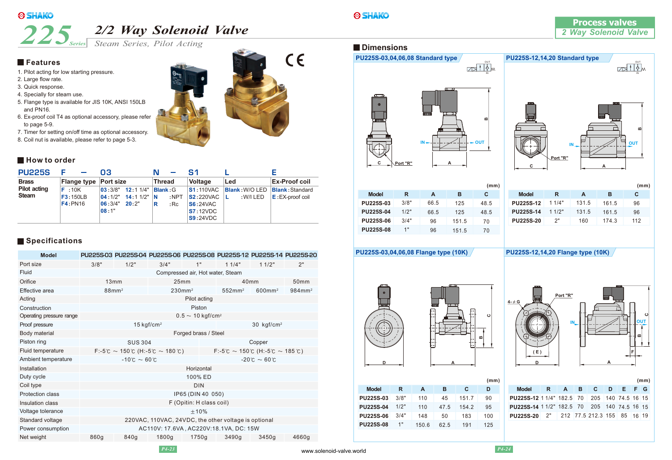

*Steam Series, Pilot Acting Series*

### **Features**

- 1. Pilot acting for low starting pressure.
- 2. Large flow rate.
- 3. Quick response.
- 4. Specially for steam use.
- 5. Flange type is available for JIS 10K, ANSI 150LB and PN16.
- 6. Ex-proof coil T4 as optional accessory, please refer to page 5-9.
- 7. Timer for setting on/off time as optional accessory.
- 8. Coil nut is available, please refer to page 5-3.



| <b>PU225S</b>                       | ь                            | Q3                                                                                                                                                      |                                       | S1                                                                                                                                                   |                                                   |                      |
|-------------------------------------|------------------------------|---------------------------------------------------------------------------------------------------------------------------------------------------------|---------------------------------------|------------------------------------------------------------------------------------------------------------------------------------------------------|---------------------------------------------------|----------------------|
| <b>Brass</b>                        | Flange type Port size        |                                                                                                                                                         | Thread                                | <b>Voltage</b>                                                                                                                                       | Led                                               | <b>Ex-Proof coil</b> |
| <b>Pilot acting</b><br><b>Steam</b> | F:10K<br>F3:150LB<br>F4:PN16 | $\vert 03:3/8"$ 12:11/4"<br>$\begin{vmatrix} 04 & 1/2 \\ 2 & 14 \end{vmatrix}$ 11/2 $\begin{vmatrix} 1 \\ 1 \end{vmatrix}$<br>06:3/4"<br>20:2"<br>08:1" | <b>Blank</b> G<br>$:$ NPT<br>:Re<br>R | <b>S1:110VAC</b><br><b>S2:220VAC</b><br>$\mathsf{S6:}24\mathsf{VAC}$<br>S7:12VDC<br>$\textcolor{blue}{\mathsf{S9:}}24\textcolor{blue}{\mathsf{VDC}}$ | <b>Blank: W/O LED Blank: Standard</b><br>:W/I LED | $E:$ EX-proof coil   |

## **Specifications**

| <b>Model</b>             |                                                                                                         |                                                                        |                        | PU225S-03 PU225S-04 PU225S-06 PU225S-08 PU225S-12 PU225S-14 PU225S-20 |                    |                    |                    |  |
|--------------------------|---------------------------------------------------------------------------------------------------------|------------------------------------------------------------------------|------------------------|-----------------------------------------------------------------------|--------------------|--------------------|--------------------|--|
| Port size                | 3/8"                                                                                                    | 1/2"                                                                   | 3/4"                   | 1"                                                                    | 11/4"              | 11/2"              | 2"                 |  |
| Fluid                    | Compressed air, Hot water, Steam                                                                        |                                                                        |                        |                                                                       |                    |                    |                    |  |
| Orifice                  |                                                                                                         | 13mm                                                                   | 25mm                   |                                                                       | 40 <sub>mm</sub>   |                    | 50 <sub>mm</sub>   |  |
| Effective area           |                                                                                                         | 88mm <sup>2</sup>                                                      | 230mm <sup>2</sup>     |                                                                       | 552mm <sup>2</sup> | 600mm <sup>2</sup> | 984mm <sup>2</sup> |  |
| Acting                   |                                                                                                         |                                                                        |                        | Pilot acting                                                          |                    |                    |                    |  |
| Construction             |                                                                                                         |                                                                        |                        | Piston                                                                |                    |                    |                    |  |
| Operating pressure range |                                                                                                         |                                                                        |                        | $0.5 \sim 10 \text{ kgf/cm}^2$                                        |                    |                    |                    |  |
| Proof pressure           |                                                                                                         |                                                                        | 15 kgf/cm <sup>2</sup> |                                                                       |                    | 30 $kgf/cm^2$      |                    |  |
| Body material            | Forged brass / Steel                                                                                    |                                                                        |                        |                                                                       |                    |                    |                    |  |
| Piston ring              |                                                                                                         | Copper<br><b>SUS 304</b>                                               |                        |                                                                       |                    |                    |                    |  |
| Fluid temperature        | $F: -5^{\circ}C \sim 150^{\circ}C$ (H: $-5^{\circ}C \sim 180^{\circ}C$ )<br>F:-5℃ ~ 150℃ (H:-5℃ ~ 185℃) |                                                                        |                        |                                                                       |                    |                    |                    |  |
| Ambient temperature      |                                                                                                         | $-10^{\circ}$ C ~ 60 $^{\circ}$ C<br>$-20^{\circ}$ C ~ 60 $^{\circ}$ C |                        |                                                                       |                    |                    |                    |  |
| Installation             | Horizontal                                                                                              |                                                                        |                        |                                                                       |                    |                    |                    |  |
| Duty cycle               | 100% ED                                                                                                 |                                                                        |                        |                                                                       |                    |                    |                    |  |
| Coil type                | <b>DIN</b>                                                                                              |                                                                        |                        |                                                                       |                    |                    |                    |  |
| <b>Protection class</b>  | IP65 (DIN 40 050)                                                                                       |                                                                        |                        |                                                                       |                    |                    |                    |  |
| Insulation class         | F (Opitin: H class coil)                                                                                |                                                                        |                        |                                                                       |                    |                    |                    |  |
| Voltage tolerance        | $+10%$                                                                                                  |                                                                        |                        |                                                                       |                    |                    |                    |  |
| Standard voltage         | 220VAC, 110VAC, 24VDC, the other voltage is optional                                                    |                                                                        |                        |                                                                       |                    |                    |                    |  |
| Power consumption        | AC110V: 17.6VA, AC220V:18.1VA, DC: 15W                                                                  |                                                                        |                        |                                                                       |                    |                    |                    |  |
| Net weight               | 860g                                                                                                    | 840g                                                                   | 1800g                  | 1750g                                                                 | 3490g              | 3450g              | 4660g              |  |

IN  $\sqrt{10}$ 

### **Dimensions**





|                  |      |      |       | (mm) |               |
|------------------|------|------|-------|------|---------------|
| <b>Model</b>     | R    | А    | в     | С    | <b>Model</b>  |
| <b>PU225S-03</b> | 3/8" | 66.5 | 125   | 48.5 | <b>PU225S</b> |
| <b>PU225S-04</b> | 1/2" | 66.5 | 125   | 48.5 | <b>PU225S</b> |
| <b>PU225S-06</b> | 3/4" | 96   | 151.5 | 70   | <b>PU225S</b> |
| <b>PU225S-08</b> | 1"   | 96   | 151.5 | 70   |               |
|                  |      |      |       |      |               |

|                  |       |       |       | (mm) |
|------------------|-------|-------|-------|------|
| <b>Model</b>     | R     | A     | в     | C    |
| <b>PU225S-12</b> | 11/4" | 131.5 | 161.5 | 96   |
| <b>PU225S-14</b> | 11/2" | 131.5 | 161.5 | 96   |
| <b>PU225S-20</b> | ?"    | 160   | 174.3 | 112  |
|                  |       |       |       |      |

**PU225S-03,04,06,08 Flange type (10K) PU225S-12,14,20 Flange type (10K)**





|                  |      |       |      |       | (mm) |                        |
|------------------|------|-------|------|-------|------|------------------------|
| <b>Model</b>     | R    | A     | в    |       | D    | <b>Model</b><br>R      |
| <b>PU225S-03</b> | 3/8" | 110   | 45   | 151.7 | 90   | PU225S-12 1 1/4"       |
| <b>PU225S-04</b> | 1/2" | 110   | 47.5 | 154.2 | 95   | PU225S-14 1 1/2" 1     |
| <b>PU225S-06</b> | 3/4" | 148   | 50   | 183   | 100  | 2"<br><b>PU225S-20</b> |
| <b>PU225S-08</b> |      | 150.6 | 62.5 | 191   | 125  |                        |

**(mm)** 182.5 70 205 140 74.5 15 16 182.5 70 205 140 74.5 15 16 212 77.5 212.3 155 85 19 16 **A B C D E F G**